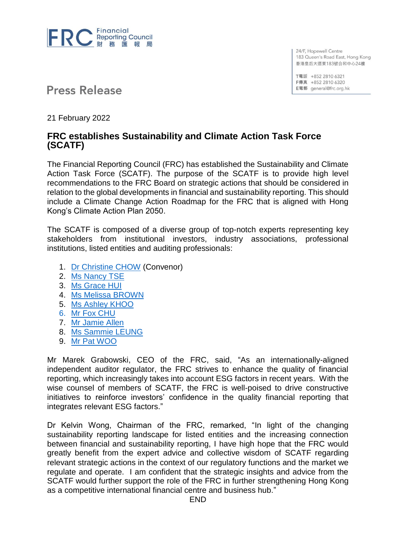

24/F, Hopewell Centre 183 Queen's Road East, Hong Kong 香港皇后大道東183號合和中心24樓

T電話 +852 2810 6321 F傳真 +852 2810 6320 E電郵 general@frc.org.hk

**Press Release** 

21 February 2022

## **FRC establishes Sustainability and Climate Action Task Force (SCATF)**

The Financial Reporting Council (FRC) has established the Sustainability and Climate Action Task Force (SCATF). The purpose of the SCATF is to provide high level recommendations to the FRC Board on strategic actions that should be considered in relation to the global developments in financial and sustainability reporting. This should include a Climate Change Action Roadmap for the FRC that is aligned with Hong Kong's Climate Action Plan 2050.

The SCATF is composed of a diverse group of top-notch experts representing key stakeholders from institutional investors, industry associations, professional institutions, listed entities and auditing professionals:

- 1. Dr [Christine CHOW](https://www.frc.org.hk/en-us/Documents/BIO.pdf) (Convenor)
- 2. [Ms Nancy TSE](https://www.frc.org.hk/en-us/Documents/BIO.pdf)
- 3. [Ms Grace HUI](https://www.frc.org.hk/en-us/Documents/BIO.pdf)
- 4. [Ms Melissa BROWN](https://www.frc.org.hk/en-us/Documents/BIO.pdf)
- 5. [Ms Ashley KHOO](https://www.frc.org.hk/en-us/Documents/BIO.pdf)
- 6. [Mr Fox CHU](https://www.frc.org.hk/en-us/Documents/BIO.pdf)
- 7. [Mr Jamie Allen](https://www.frc.org.hk/en-us/Documents/BIO.pdf)
- 8. [Ms Sammie LEUNG](https://www.frc.org.hk/en-us/Documents/BIO.pdf)
- 9. [Mr Pat WOO](https://www.frc.org.hk/en-us/Documents/BIO.pdf)

Mr Marek Grabowski, CEO of the FRC, said, "As an internationally-aligned independent auditor regulator, the FRC strives to enhance the quality of financial reporting, which increasingly takes into account ESG factors in recent years. With the wise counsel of members of SCATF, the FRC is well-poised to drive constructive initiatives to reinforce investors' confidence in the quality financial reporting that integrates relevant ESG factors."

Dr Kelvin Wong, Chairman of the FRC, remarked, "In light of the changing sustainability reporting landscape for listed entities and the increasing connection between financial and sustainability reporting, I have high hope that the FRC would greatly benefit from the expert advice and collective wisdom of SCATF regarding relevant strategic actions in the context of our regulatory functions and the market we regulate and operate. I am confident that the strategic insights and advice from the SCATF would further support the role of the FRC in further strengthening Hong Kong as a competitive international financial centre and business hub."